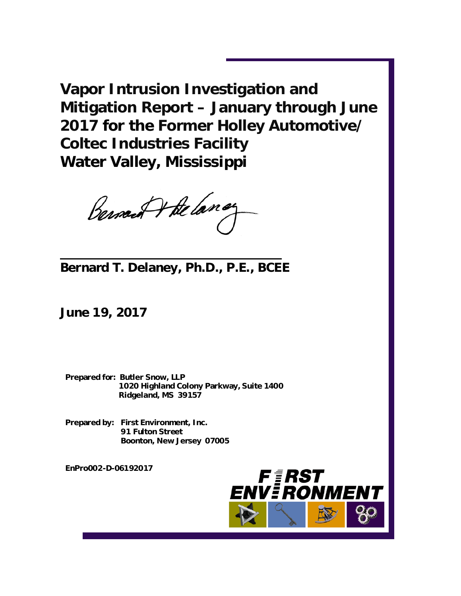**Vapor Intrusion Investigation and Mitigation Report – January through June 2017 for the Former Holley Automotive/ Coltec Industries Facility Water Valley, Mississippi**

Bernard 4 the lang

**Bernard T. Delaney, Ph.D., P.E., BCEE**

**June 19, 2017**

**Prepared for: Butler Snow, LLP 1020 Highland Colony Parkway, Suite 1400 Ridgeland, MS 39157**

**Prepared by: First Environment, Inc. 91 Fulton Street Boonton, New Jersey 07005**

**EnPro002-D-06192017**

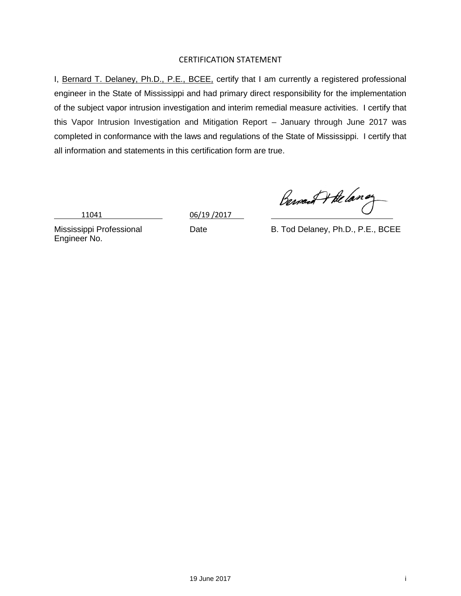#### CERTIFICATION STATEMENT

I, Bernard T. Delaney, Ph.D., P.E., BCEE, certify that I am currently a registered professional engineer in the State of Mississippi and had primary direct responsibility for the implementation of the subject vapor intrusion investigation and interim remedial measure activities. I certify that this Vapor Intrusion Investigation and Mitigation Report – January through June 2017 was completed in conformance with the laws and regulations of the State of Mississippi. I certify that all information and statements in this certification form are true.

11041 06/19 /2017

Engineer No.

Bernard + the lang

Mississippi Professional Date Date B. Tod Delaney, Ph.D., P.E., BCEE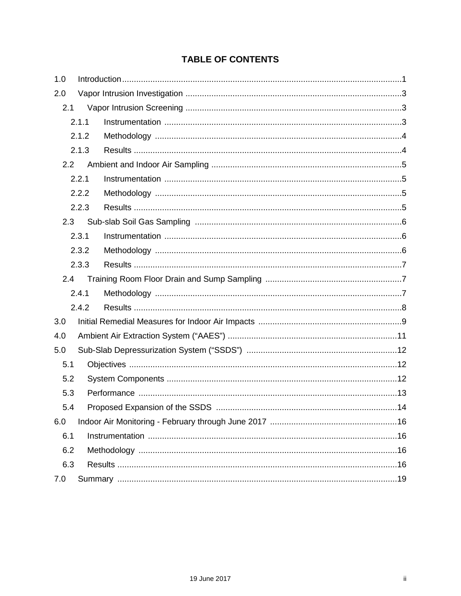### **TABLE OF CONTENTS**

| 1.0 |       |  |  |  |  |  |  |
|-----|-------|--|--|--|--|--|--|
| 2.0 |       |  |  |  |  |  |  |
| 2.1 |       |  |  |  |  |  |  |
|     | 2.1.1 |  |  |  |  |  |  |
|     | 2.1.2 |  |  |  |  |  |  |
|     | 2.1.3 |  |  |  |  |  |  |
|     | 2.2   |  |  |  |  |  |  |
|     | 2.2.1 |  |  |  |  |  |  |
|     | 2.2.2 |  |  |  |  |  |  |
|     | 2.2.3 |  |  |  |  |  |  |
| 2.3 |       |  |  |  |  |  |  |
|     | 2.3.1 |  |  |  |  |  |  |
|     | 2.3.2 |  |  |  |  |  |  |
|     | 2.3.3 |  |  |  |  |  |  |
| 2.4 |       |  |  |  |  |  |  |
|     | 2.4.1 |  |  |  |  |  |  |
|     | 2.4.2 |  |  |  |  |  |  |
| 3.0 |       |  |  |  |  |  |  |
| 4.0 |       |  |  |  |  |  |  |
| 5.0 |       |  |  |  |  |  |  |
| 5.1 |       |  |  |  |  |  |  |
| 5.2 |       |  |  |  |  |  |  |
| 5.3 |       |  |  |  |  |  |  |
| 5.4 |       |  |  |  |  |  |  |
| 6.0 |       |  |  |  |  |  |  |
| 6.1 |       |  |  |  |  |  |  |
| 6.2 |       |  |  |  |  |  |  |
| 6.3 |       |  |  |  |  |  |  |
| 7.0 |       |  |  |  |  |  |  |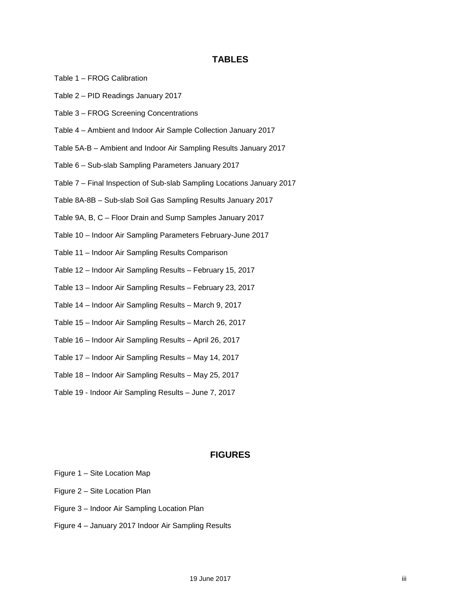#### **TABLES**

- Table 1 FROG Calibration
- Table 2 PID Readings January 2017
- Table 3 FROG Screening Concentrations
- Table 4 Ambient and Indoor Air Sample Collection January 2017
- Table 5A-B Ambient and Indoor Air Sampling Results January 2017
- Table 6 Sub-slab Sampling Parameters January 2017
- Table 7 Final Inspection of Sub-slab Sampling Locations January 2017
- Table 8A-8B Sub-slab Soil Gas Sampling Results January 2017
- Table 9A, B, C Floor Drain and Sump Samples January 2017
- Table 10 Indoor Air Sampling Parameters February-June 2017
- Table 11 Indoor Air Sampling Results Comparison
- Table 12 Indoor Air Sampling Results February 15, 2017
- Table 13 Indoor Air Sampling Results February 23, 2017
- Table 14 Indoor Air Sampling Results March 9, 2017
- Table 15 Indoor Air Sampling Results March 26, 2017
- Table 16 Indoor Air Sampling Results April 26, 2017
- Table 17 Indoor Air Sampling Results May 14, 2017
- Table 18 Indoor Air Sampling Results May 25, 2017
- Table 19 Indoor Air Sampling Results June 7, 2017

#### **FIGURES**

- Figure 1 Site Location Map
- Figure 2 Site Location Plan
- Figure 3 Indoor Air Sampling Location Plan
- Figure 4 January 2017 Indoor Air Sampling Results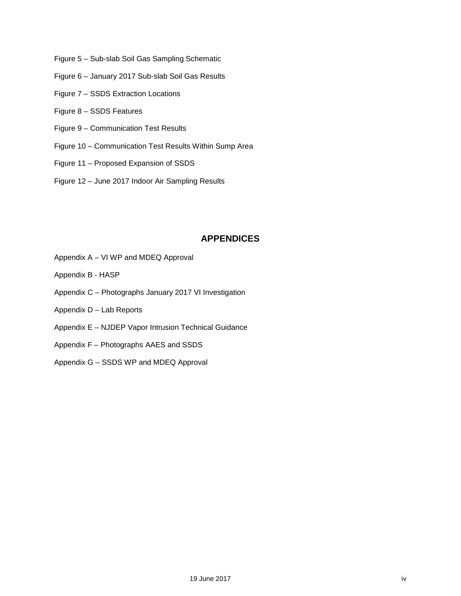- Figure 5 Sub-slab Soil Gas Sampling Schematic
- Figure 6 January 2017 Sub-slab Soil Gas Results
- Figure 7 SSDS Extraction Locations
- Figure 8 SSDS Features
- Figure 9 Communication Test Results
- Figure 10 Communication Test Results Within Sump Area
- Figure 11 Proposed Expansion of SSDS
- Figure 12 June 2017 Indoor Air Sampling Results

#### **APPENDICES**

- Appendix A VI WP and MDEQ Approval
- Appendix B HASP
- Appendix C Photographs January 2017 VI Investigation
- Appendix D Lab Reports
- Appendix E NJDEP Vapor Intrusion Technical Guidance
- Appendix F Photographs AAES and SSDS
- Appendix G SSDS WP and MDEQ Approval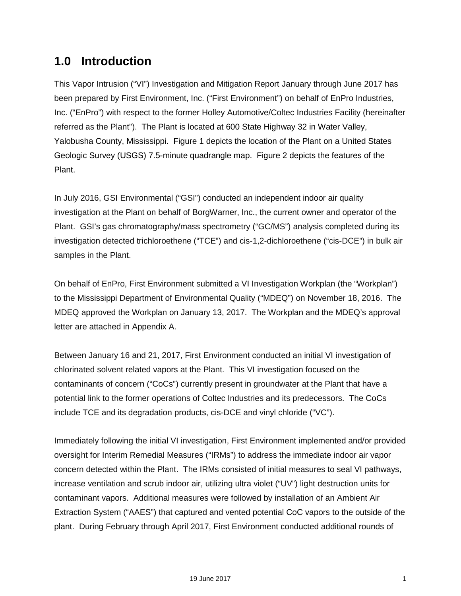## <span id="page-5-0"></span>**1.0 Introduction**

This Vapor Intrusion ("VI") Investigation and Mitigation Report January through June 2017 has been prepared by First Environment, Inc. ("First Environment") on behalf of EnPro Industries, Inc. ("EnPro") with respect to the former Holley Automotive/Coltec Industries Facility (hereinafter referred as the Plant"). The Plant is located at 600 State Highway 32 in Water Valley, Yalobusha County, Mississippi. Figure 1 depicts the location of the Plant on a United States Geologic Survey (USGS) 7.5-minute quadrangle map. Figure 2 depicts the features of the Plant.

In July 2016, GSI Environmental ("GSI") conducted an independent indoor air quality investigation at the Plant on behalf of BorgWarner, Inc., the current owner and operator of the Plant. GSI's gas chromatography/mass spectrometry ("GC/MS") analysis completed during its investigation detected trichloroethene ("TCE") and cis-1,2-dichloroethene ("cis-DCE") in bulk air samples in the Plant.

On behalf of EnPro, First Environment submitted a VI Investigation Workplan (the "Workplan") to the Mississippi Department of Environmental Quality ("MDEQ") on November 18, 2016. The MDEQ approved the Workplan on January 13, 2017. The Workplan and the MDEQ's approval letter are attached in Appendix A.

Between January 16 and 21, 2017, First Environment conducted an initial VI investigation of chlorinated solvent related vapors at the Plant. This VI investigation focused on the contaminants of concern ("CoCs") currently present in groundwater at the Plant that have a potential link to the former operations of Coltec Industries and its predecessors. The CoCs include TCE and its degradation products, cis-DCE and vinyl chloride ("VC").

Immediately following the initial VI investigation, First Environment implemented and/or provided oversight for Interim Remedial Measures ("IRMs") to address the immediate indoor air vapor concern detected within the Plant. The IRMs consisted of initial measures to seal VI pathways, increase ventilation and scrub indoor air, utilizing ultra violet ("UV") light destruction units for contaminant vapors. Additional measures were followed by installation of an Ambient Air Extraction System ("AAES") that captured and vented potential CoC vapors to the outside of the plant. During February through April 2017, First Environment conducted additional rounds of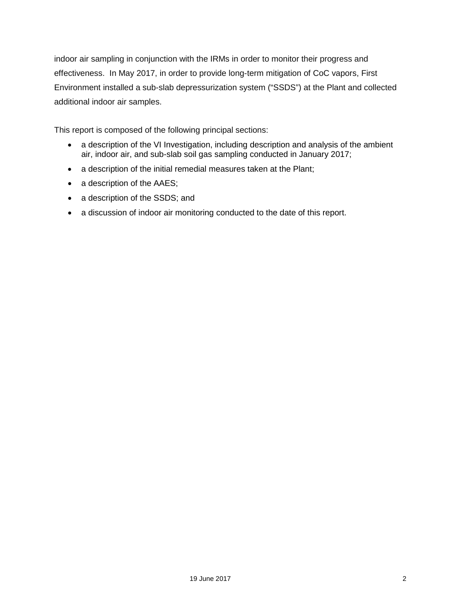indoor air sampling in conjunction with the IRMs in order to monitor their progress and effectiveness. In May 2017, in order to provide long-term mitigation of CoC vapors, First Environment installed a sub-slab depressurization system ("SSDS") at the Plant and collected additional indoor air samples.

This report is composed of the following principal sections:

- a description of the VI Investigation, including description and analysis of the ambient air, indoor air, and sub-slab soil gas sampling conducted in January 2017;
- a description of the initial remedial measures taken at the Plant;
- a description of the AAES;
- a description of the SSDS; and
- a discussion of indoor air monitoring conducted to the date of this report.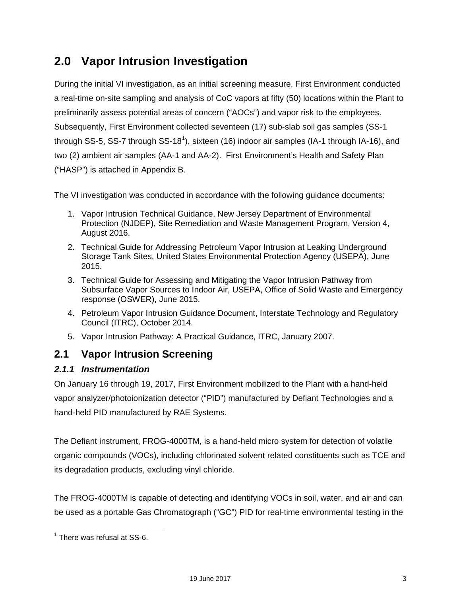# <span id="page-7-0"></span>**2.0 Vapor Intrusion Investigation**

During the initial VI investigation, as an initial screening measure, First Environment conducted a real-time on-site sampling and analysis of CoC vapors at fifty (50) locations within the Plant to preliminarily assess potential areas of concern ("AOCs") and vapor risk to the employees. Subsequently, First Environment collected seventeen (17) sub-slab soil gas samples (SS-1 through SS-5, SS-7 through SS-[1](#page-7-3)8<sup>1</sup>), sixteen (16) indoor air samples (IA-1 through IA-16), and two (2) ambient air samples (AA-1 and AA-2). First Environment's Health and Safety Plan ("HASP") is attached in Appendix B.

The VI investigation was conducted in accordance with the following guidance documents:

- 1. Vapor Intrusion Technical Guidance, New Jersey Department of Environmental Protection (NJDEP), Site Remediation and Waste Management Program, Version 4, August 2016.
- 2. Technical Guide for Addressing Petroleum Vapor Intrusion at Leaking Underground Storage Tank Sites, United States Environmental Protection Agency (USEPA), June 2015.
- 3. Technical Guide for Assessing and Mitigating the Vapor Intrusion Pathway from Subsurface Vapor Sources to Indoor Air, USEPA, Office of Solid Waste and Emergency response (OSWER), June 2015.
- 4. Petroleum Vapor Intrusion Guidance Document, Interstate Technology and Regulatory Council (ITRC), October 2014.
- 5. Vapor Intrusion Pathway: A Practical Guidance, ITRC, January 2007.

## <span id="page-7-1"></span>**2.1 Vapor Intrusion Screening**

#### <span id="page-7-2"></span>*2.1.1 Instrumentation*

On January 16 through 19, 2017, First Environment mobilized to the Plant with a hand-held vapor analyzer/photoionization detector ("PID") manufactured by Defiant Technologies and a hand-held PID manufactured by RAE Systems.

The Defiant instrument, FROG-4000TM, is a hand-held micro system for detection of volatile organic compounds (VOCs), including chlorinated solvent related constituents such as TCE and its degradation products, excluding vinyl chloride.

The FROG-4000TM is capable of detecting and identifying VOCs in soil, water, and air and can be used as a portable Gas Chromatograph ("GC") PID for real-time environmental testing in the

<span id="page-7-3"></span> $<sup>1</sup>$  There was refusal at SS-6.</sup>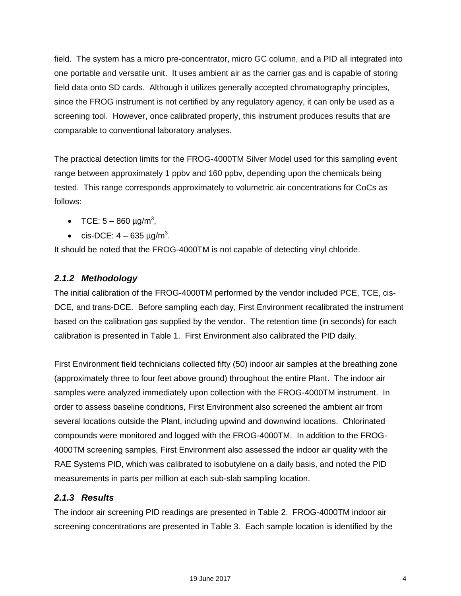field. The system has a micro pre-concentrator, micro GC column, and a PID all integrated into one portable and versatile unit. It uses ambient air as the carrier gas and is capable of storing field data onto SD cards. Although it utilizes generally accepted chromatography principles, since the FROG instrument is not certified by any regulatory agency, it can only be used as a screening tool. However, once calibrated properly, this instrument produces results that are comparable to conventional laboratory analyses.

The practical detection limits for the FROG-4000TM Silver Model used for this sampling event range between approximately 1 ppbv and 160 ppbv, depending upon the chemicals being tested. This range corresponds approximately to volumetric air concentrations for CoCs as follows:

- TCE:  $5 860 \mu g/m^3$ ,
- cis-DCE:  $4 635 \,\mu$ g/m<sup>3</sup>.

It should be noted that the FROG-4000TM is not capable of detecting vinyl chloride.

### <span id="page-8-0"></span>*2.1.2 Methodology*

The initial calibration of the FROG-4000TM performed by the vendor included PCE, TCE, cis-DCE, and trans-DCE. Before sampling each day, First Environment recalibrated the instrument based on the calibration gas supplied by the vendor. The retention time (in seconds) for each calibration is presented in Table 1. First Environment also calibrated the PID daily.

First Environment field technicians collected fifty (50) indoor air samples at the breathing zone (approximately three to four feet above ground) throughout the entire Plant. The indoor air samples were analyzed immediately upon collection with the FROG-4000TM instrument. In order to assess baseline conditions, First Environment also screened the ambient air from several locations outside the Plant, including upwind and downwind locations. Chlorinated compounds were monitored and logged with the FROG-4000TM. In addition to the FROG-4000TM screening samples, First Environment also assessed the indoor air quality with the RAE Systems PID, which was calibrated to isobutylene on a daily basis, and noted the PID measurements in parts per million at each sub-slab sampling location.

### <span id="page-8-1"></span>*2.1.3 Results*

The indoor air screening PID readings are presented in Table 2. FROG-4000TM indoor air screening concentrations are presented in Table 3. Each sample location is identified by the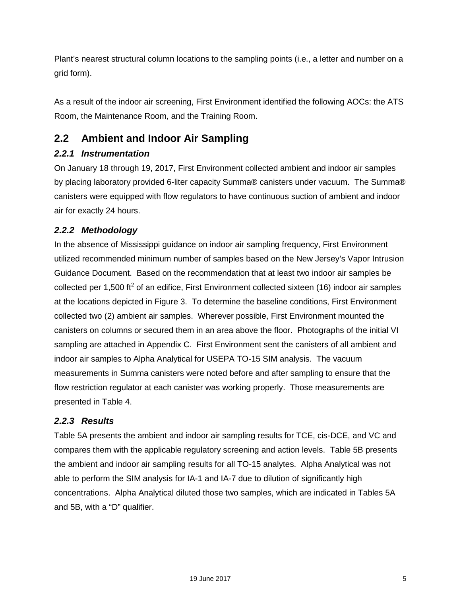Plant's nearest structural column locations to the sampling points (i.e., a letter and number on a grid form).

As a result of the indoor air screening, First Environment identified the following AOCs: the ATS Room, the Maintenance Room, and the Training Room.

## <span id="page-9-0"></span>**2.2 Ambient and Indoor Air Sampling**

### <span id="page-9-1"></span>*2.2.1 Instrumentation*

On January 18 through 19, 2017, First Environment collected ambient and indoor air samples by placing laboratory provided 6-liter capacity Summa® canisters under vacuum. The Summa® canisters were equipped with flow regulators to have continuous suction of ambient and indoor air for exactly 24 hours.

### <span id="page-9-2"></span>*2.2.2 Methodology*

In the absence of Mississippi guidance on indoor air sampling frequency, First Environment utilized recommended minimum number of samples based on the New Jersey's Vapor Intrusion Guidance Document. Based on the recommendation that at least two indoor air samples be collected per 1,500 ft<sup>2</sup> of an edifice, First Environment collected sixteen (16) indoor air samples at the locations depicted in Figure 3. To determine the baseline conditions, First Environment collected two (2) ambient air samples. Wherever possible, First Environment mounted the canisters on columns or secured them in an area above the floor. Photographs of the initial VI sampling are attached in Appendix C. First Environment sent the canisters of all ambient and indoor air samples to Alpha Analytical for USEPA TO-15 SIM analysis. The vacuum measurements in Summa canisters were noted before and after sampling to ensure that the flow restriction regulator at each canister was working properly. Those measurements are presented in Table 4.

### <span id="page-9-3"></span>*2.2.3 Results*

Table 5A presents the ambient and indoor air sampling results for TCE, cis-DCE, and VC and compares them with the applicable regulatory screening and action levels. Table 5B presents the ambient and indoor air sampling results for all TO-15 analytes. Alpha Analytical was not able to perform the SIM analysis for IA-1 and IA-7 due to dilution of significantly high concentrations. Alpha Analytical diluted those two samples, which are indicated in Tables 5A and 5B, with a "D" qualifier.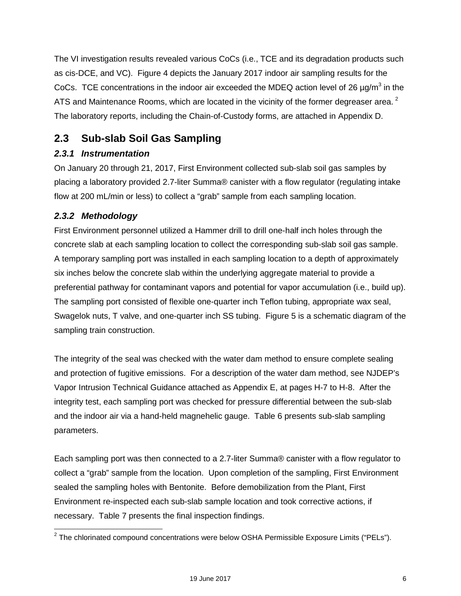The VI investigation results revealed various CoCs (i.e., TCE and its degradation products such as cis-DCE, and VC). Figure 4 depicts the January 2017 indoor air sampling results for the CoCs. TCE concentrations in the indoor air exceeded the MDEQ action level of 26  $\mu q/m^3$  in the ATS and Maintenance Rooms, which are located in the vicinity of the former degreaser area.  $2^2$  $2^2$ The laboratory reports, including the Chain-of-Custody forms, are attached in Appendix D.

## <span id="page-10-0"></span>**2.3 Sub-slab Soil Gas Sampling**

### <span id="page-10-1"></span>*2.3.1 Instrumentation*

On January 20 through 21, 2017, First Environment collected sub-slab soil gas samples by placing a laboratory provided 2.7-liter Summa® canister with a flow regulator (regulating intake flow at 200 mL/min or less) to collect a "grab" sample from each sampling location.

### <span id="page-10-2"></span>*2.3.2 Methodology*

First Environment personnel utilized a Hammer drill to drill one-half inch holes through the concrete slab at each sampling location to collect the corresponding sub-slab soil gas sample. A temporary sampling port was installed in each sampling location to a depth of approximately six inches below the concrete slab within the underlying aggregate material to provide a preferential pathway for contaminant vapors and potential for vapor accumulation (i.e., build up). The sampling port consisted of flexible one-quarter inch Teflon tubing, appropriate wax seal, Swagelok nuts, T valve, and one-quarter inch SS tubing. Figure 5 is a schematic diagram of the sampling train construction.

The integrity of the seal was checked with the water dam method to ensure complete sealing and protection of fugitive emissions. For a description of the water dam method, see NJDEP's Vapor Intrusion Technical Guidance attached as Appendix E, at pages H-7 to H-8. After the integrity test, each sampling port was checked for pressure differential between the sub-slab and the indoor air via a hand-held magnehelic gauge. Table 6 presents sub-slab sampling parameters.

Each sampling port was then connected to a 2.7-liter Summa® canister with a flow regulator to collect a "grab" sample from the location. Upon completion of the sampling, First Environment sealed the sampling holes with Bentonite. Before demobilization from the Plant, First Environment re-inspected each sub-slab sample location and took corrective actions, if necessary. Table 7 presents the final inspection findings.

<span id="page-10-3"></span> $2$  The chlorinated compound concentrations were below OSHA Permissible Exposure Limits ("PELs").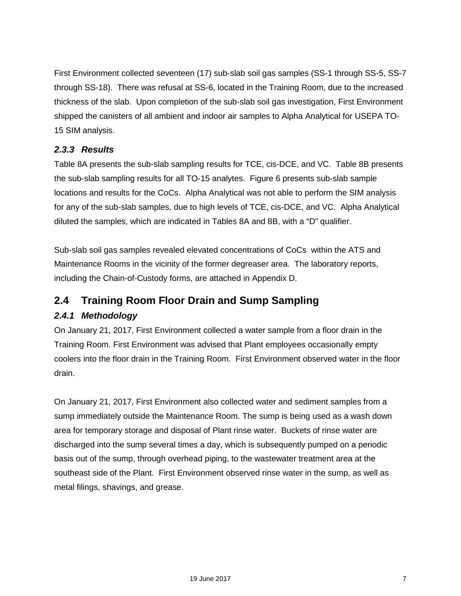First Environment collected seventeen (17) sub-slab soil gas samples (SS-1 through SS-5, SS-7 through SS-18). There was refusal at SS-6, located in the Training Room, due to the increased thickness of the slab. Upon completion of the sub-slab soil gas investigation, First Environment shipped the canisters of all ambient and indoor air samples to Alpha Analytical for USEPA TO-15 SIM analysis.

#### <span id="page-11-0"></span>*2.3.3 Results*

Table 8A presents the sub-slab sampling results for TCE, cis-DCE, and VC. Table 8B presents the sub-slab sampling results for all TO-15 analytes. Figure 6 presents sub-slab sample locations and results for the CoCs. Alpha Analytical was not able to perform the SIM analysis for any of the sub-slab samples, due to high levels of TCE, cis-DCE, and VC. Alpha Analytical diluted the samples, which are indicated in Tables 8A and 8B, with a "D" qualifier.

Sub-slab soil gas samples revealed elevated concentrations of CoCs within the ATS and Maintenance Rooms in the vicinity of the former degreaser area. The laboratory reports, including the Chain-of-Custody forms, are attached in Appendix D.

## <span id="page-11-1"></span>**2.4 Training Room Floor Drain and Sump Sampling**

### <span id="page-11-2"></span>*2.4.1 Methodology*

On January 21, 2017, First Environment collected a water sample from a floor drain in the Training Room. First Environment was advised that Plant employees occasionally empty coolers into the floor drain in the Training Room. First Environment observed water in the floor drain.

On January 21, 2017, First Environment also collected water and sediment samples from a sump immediately outside the Maintenance Room. The sump is being used as a wash down area for temporary storage and disposal of Plant rinse water. Buckets of rinse water are discharged into the sump several times a day, which is subsequently pumped on a periodic basis out of the sump, through overhead piping, to the wastewater treatment area at the southeast side of the Plant. First Environment observed rinse water in the sump, as well as metal filings, shavings, and grease.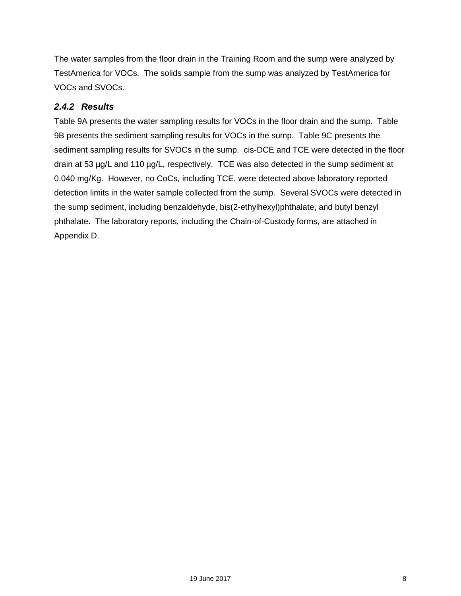The water samples from the floor drain in the Training Room and the sump were analyzed by TestAmerica for VOCs. The solids sample from the sump was analyzed by TestAmerica for VOCs and SVOCs.

### <span id="page-12-0"></span>*2.4.2 Results*

Table 9A presents the water sampling results for VOCs in the floor drain and the sump. Table 9B presents the sediment sampling results for VOCs in the sump. Table 9C presents the sediment sampling results for SVOCs in the sump. cis-DCE and TCE were detected in the floor drain at 53 µg/L and 110 µg/L, respectively. TCE was also detected in the sump sediment at 0.040 mg/Kg. However, no CoCs, including TCE, were detected above laboratory reported detection limits in the water sample collected from the sump. Several SVOCs were detected in the sump sediment, including benzaldehyde, bis(2-ethylhexyl)phthalate, and butyl benzyl phthalate. The laboratory reports, including the Chain-of-Custody forms, are attached in Appendix D.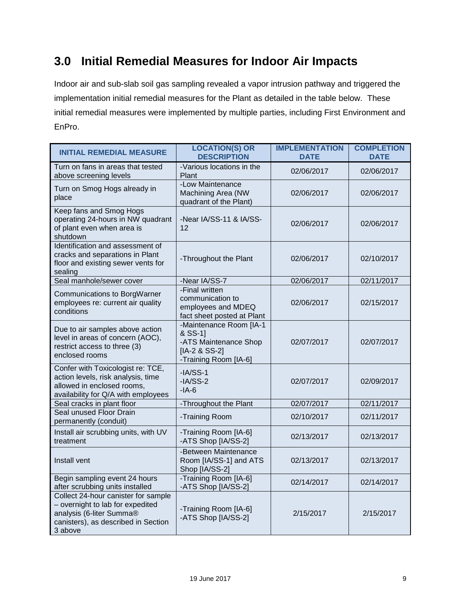# <span id="page-13-0"></span>**3.0 Initial Remedial Measures for Indoor Air Impacts**

Indoor air and sub-slab soil gas sampling revealed a vapor intrusion pathway and triggered the implementation initial remedial measures for the Plant as detailed in the table below. These initial remedial measures were implemented by multiple parties, including First Environment and EnPro.

| <b>INITIAL REMEDIAL MEASURE</b>                                                                                                                       | <b>LOCATION(S) OR</b><br><b>DESCRIPTION</b>                                                           | <b>IMPLEMENTATION</b><br><b>DATE</b> | <b>COMPLETION</b><br><b>DATE</b> |
|-------------------------------------------------------------------------------------------------------------------------------------------------------|-------------------------------------------------------------------------------------------------------|--------------------------------------|----------------------------------|
| Turn on fans in areas that tested<br>above screening levels                                                                                           | -Various locations in the<br>Plant                                                                    | 02/06/2017                           | 02/06/2017                       |
| Turn on Smog Hogs already in<br>place                                                                                                                 | -Low Maintenance<br>Machining Area (NW<br>quadrant of the Plant)                                      | 02/06/2017                           | 02/06/2017                       |
| Keep fans and Smog Hogs<br>operating 24-hours in NW quadrant<br>of plant even when area is<br>shutdown                                                | -Near IA/SS-11 & IA/SS-<br>12                                                                         | 02/06/2017                           | 02/06/2017                       |
| Identification and assessment of<br>cracks and separations in Plant<br>floor and existing sewer vents for<br>sealing                                  | -Throughout the Plant                                                                                 | 02/06/2017                           | 02/10/2017                       |
| Seal manhole/sewer cover                                                                                                                              | -Near IA/SS-7                                                                                         | 02/06/2017                           | 02/11/2017                       |
| Communications to BorgWarner<br>employees re: current air quality<br>conditions                                                                       | -Final written<br>communication to<br>employees and MDEQ<br>fact sheet posted at Plant                | 02/06/2017                           | 02/15/2017                       |
| Due to air samples above action<br>level in areas of concern (AOC),<br>restrict access to three (3)<br>enclosed rooms                                 | -Maintenance Room [IA-1<br>& SS-1]<br>-ATS Maintenance Shop<br>[IA-2 & SS-2]<br>-Training Room [IA-6] | 02/07/2017                           | 02/07/2017                       |
| Confer with Toxicologist re: TCE,<br>action levels, risk analysis, time<br>allowed in enclosed rooms,<br>availability for Q/A with employees          | $-IA/SS-1$<br>$-IA/SS-2$<br>$-IA-6$                                                                   | 02/07/2017                           | 02/09/2017                       |
| Seal cracks in plant floor                                                                                                                            | -Throughout the Plant                                                                                 | 02/07/2017                           | 02/11/2017                       |
| Seal unused Floor Drain<br>permanently (conduit)                                                                                                      | -Training Room                                                                                        | 02/10/2017                           | 02/11/2017                       |
| Install air scrubbing units, with UV<br>treatment                                                                                                     | -Training Room [IA-6]<br>-ATS Shop [IA/SS-2]                                                          | 02/13/2017                           | 02/13/2017                       |
| Install vent                                                                                                                                          | -Between Maintenance<br>Room [IA/SS-1] and ATS<br>Shop [IA/SS-2]                                      | 02/13/2017                           | 02/13/2017                       |
| Begin sampling event 24 hours<br>after scrubbing units installed                                                                                      | -Training Room [IA-6]<br>-ATS Shop [IA/SS-2]                                                          | 02/14/2017                           | 02/14/2017                       |
| Collect 24-hour canister for sample<br>- overnight to lab for expedited<br>analysis (6-liter Summa®<br>canisters), as described in Section<br>3 above | -Training Room [IA-6]<br>-ATS Shop [IA/SS-2]                                                          | 2/15/2017                            | 2/15/2017                        |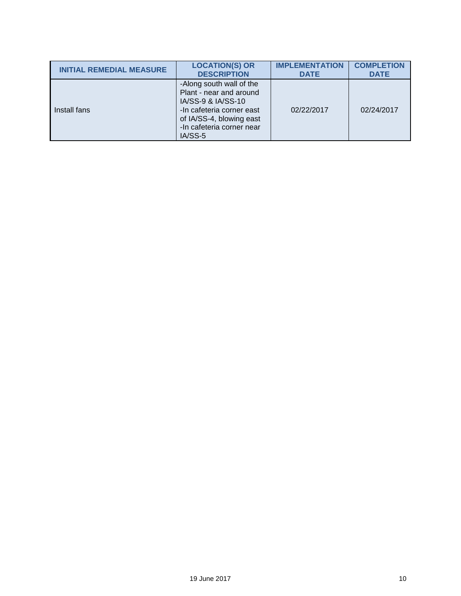| <b>INITIAL REMEDIAL MEASURE</b> | <b>LOCATION(S) OR</b>                                                                                                                                                      | <b>IMPLEMENTATION</b> | <b>COMPLETION</b> |
|---------------------------------|----------------------------------------------------------------------------------------------------------------------------------------------------------------------------|-----------------------|-------------------|
|                                 | <b>DESCRIPTION</b>                                                                                                                                                         | <b>DATE</b>           | <b>DATE</b>       |
| Install fans                    | -Along south wall of the<br>Plant - near and around<br>IA/SS-9 & IA/SS-10<br>-In cafeteria corner east<br>of IA/SS-4, blowing east<br>-In cafeteria corner near<br>IA/SS-5 | 02/22/2017            | 02/24/2017        |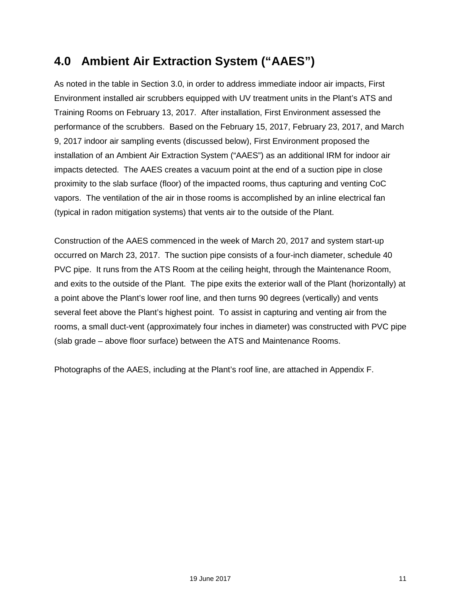# <span id="page-15-0"></span>**4.0 Ambient Air Extraction System ("AAES")**

As noted in the table in Section 3.0, in order to address immediate indoor air impacts, First Environment installed air scrubbers equipped with UV treatment units in the Plant's ATS and Training Rooms on February 13, 2017. After installation, First Environment assessed the performance of the scrubbers. Based on the February 15, 2017, February 23, 2017, and March 9, 2017 indoor air sampling events (discussed below), First Environment proposed the installation of an Ambient Air Extraction System ("AAES") as an additional IRM for indoor air impacts detected. The AAES creates a vacuum point at the end of a suction pipe in close proximity to the slab surface (floor) of the impacted rooms, thus capturing and venting CoC vapors. The ventilation of the air in those rooms is accomplished by an inline electrical fan (typical in radon mitigation systems) that vents air to the outside of the Plant.

Construction of the AAES commenced in the week of March 20, 2017 and system start-up occurred on March 23, 2017. The suction pipe consists of a four-inch diameter, schedule 40 PVC pipe. It runs from the ATS Room at the ceiling height, through the Maintenance Room, and exits to the outside of the Plant. The pipe exits the exterior wall of the Plant (horizontally) at a point above the Plant's lower roof line, and then turns 90 degrees (vertically) and vents several feet above the Plant's highest point. To assist in capturing and venting air from the rooms, a small duct-vent (approximately four inches in diameter) was constructed with PVC pipe (slab grade – above floor surface) between the ATS and Maintenance Rooms.

Photographs of the AAES, including at the Plant's roof line, are attached in Appendix F.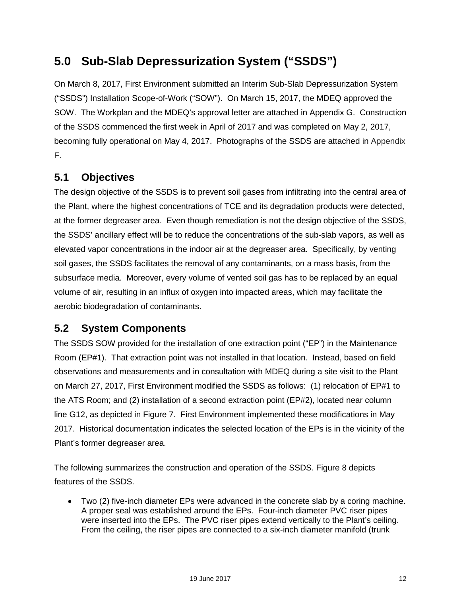# <span id="page-16-0"></span>**5.0 Sub-Slab Depressurization System ("SSDS")**

On March 8, 2017, First Environment submitted an Interim Sub-Slab Depressurization System ("SSDS") Installation Scope-of-Work ("SOW"). On March 15, 2017, the MDEQ approved the SOW. The Workplan and the MDEQ's approval letter are attached in Appendix G. Construction of the SSDS commenced the first week in April of 2017 and was completed on May 2, 2017, becoming fully operational on May 4, 2017. Photographs of the SSDS are attached in Appendix F.

## <span id="page-16-1"></span>**5.1 Objectives**

The design objective of the SSDS is to prevent soil gases from infiltrating into the central area of the Plant, where the highest concentrations of TCE and its degradation products were detected, at the former degreaser area. Even though remediation is not the design objective of the SSDS, the SSDS' ancillary effect will be to reduce the concentrations of the sub-slab vapors, as well as elevated vapor concentrations in the indoor air at the degreaser area. Specifically, by venting soil gases, the SSDS facilitates the removal of any contaminants, on a mass basis, from the subsurface media. Moreover, every volume of vented soil gas has to be replaced by an equal volume of air, resulting in an influx of oxygen into impacted areas, which may facilitate the aerobic biodegradation of contaminants.

## <span id="page-16-2"></span>**5.2 System Components**

The SSDS SOW provided for the installation of one extraction point ("EP") in the Maintenance Room (EP#1). That extraction point was not installed in that location. Instead, based on field observations and measurements and in consultation with MDEQ during a site visit to the Plant on March 27, 2017, First Environment modified the SSDS as follows: (1) relocation of EP#1 to the ATS Room; and (2) installation of a second extraction point (EP#2), located near column line G12, as depicted in Figure 7. First Environment implemented these modifications in May 2017. Historical documentation indicates the selected location of the EPs is in the vicinity of the Plant's former degreaser area.

The following summarizes the construction and operation of the SSDS. Figure 8 depicts features of the SSDS.

• Two (2) five-inch diameter EPs were advanced in the concrete slab by a coring machine. A proper seal was established around the EPs. Four-inch diameter PVC riser pipes were inserted into the EPs. The PVC riser pipes extend vertically to the Plant's ceiling. From the ceiling, the riser pipes are connected to a six-inch diameter manifold (trunk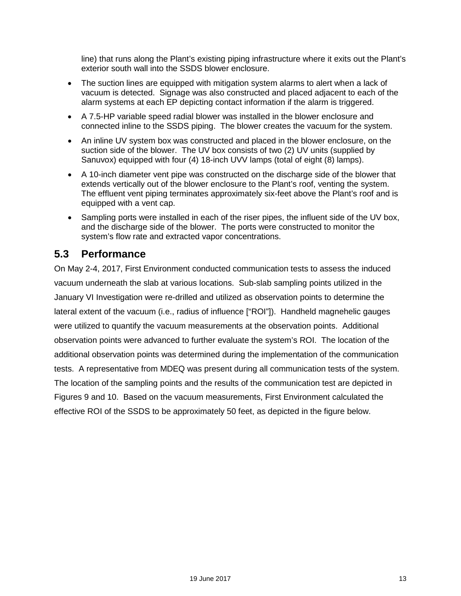line) that runs along the Plant's existing piping infrastructure where it exits out the Plant's exterior south wall into the SSDS blower enclosure.

- The suction lines are equipped with mitigation system alarms to alert when a lack of vacuum is detected. Signage was also constructed and placed adjacent to each of the alarm systems at each EP depicting contact information if the alarm is triggered.
- A 7.5-HP variable speed radial blower was installed in the blower enclosure and connected inline to the SSDS piping. The blower creates the vacuum for the system.
- An inline UV system box was constructed and placed in the blower enclosure, on the suction side of the blower. The UV box consists of two (2) UV units (supplied by Sanuvox) equipped with four (4) 18-inch UVV lamps (total of eight (8) lamps).
- A 10-inch diameter vent pipe was constructed on the discharge side of the blower that extends vertically out of the blower enclosure to the Plant's roof, venting the system. The effluent vent piping terminates approximately six-feet above the Plant's roof and is equipped with a vent cap.
- Sampling ports were installed in each of the riser pipes, the influent side of the UV box, and the discharge side of the blower. The ports were constructed to monitor the system's flow rate and extracted vapor concentrations.

## <span id="page-17-0"></span>**5.3 Performance**

On May 2-4, 2017, First Environment conducted communication tests to assess the induced vacuum underneath the slab at various locations. Sub-slab sampling points utilized in the January VI Investigation were re-drilled and utilized as observation points to determine the lateral extent of the vacuum (i.e., radius of influence ["ROI"]). Handheld magnehelic gauges were utilized to quantify the vacuum measurements at the observation points. Additional observation points were advanced to further evaluate the system's ROI. The location of the additional observation points was determined during the implementation of the communication tests. A representative from MDEQ was present during all communication tests of the system. The location of the sampling points and the results of the communication test are depicted in Figures 9 and 10. Based on the vacuum measurements, First Environment calculated the effective ROI of the SSDS to be approximately 50 feet, as depicted in the figure below.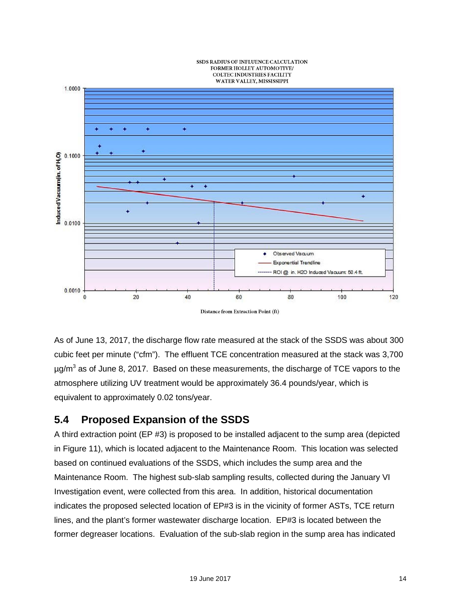#### SSDS RADIUS OF INFLUENCE CALCULATION **FORMER HOLLEY AUTOMOTIVE/ COLTEC INDUSTRIES FACILITY** WATER VALLEY, MISSISSIPPI



As of June 13, 2017, the discharge flow rate measured at the stack of the SSDS was about 300 cubic feet per minute ("cfm"). The effluent TCE concentration measured at the stack was 3,700  $\mu$ g/m<sup>3</sup> as of June 8, 2017. Based on these measurements, the discharge of TCE vapors to the atmosphere utilizing UV treatment would be approximately 36.4 pounds/year, which is equivalent to approximately 0.02 tons/year.

## <span id="page-18-0"></span>**5.4 Proposed Expansion of the SSDS**

A third extraction point (EP #3) is proposed to be installed adjacent to the sump area (depicted in Figure 11), which is located adjacent to the Maintenance Room. This location was selected based on continued evaluations of the SSDS, which includes the sump area and the Maintenance Room. The highest sub-slab sampling results, collected during the January VI Investigation event, were collected from this area. In addition, historical documentation indicates the proposed selected location of EP#3 is in the vicinity of former ASTs, TCE return lines, and the plant's former wastewater discharge location. EP#3 is located between the former degreaser locations. Evaluation of the sub-slab region in the sump area has indicated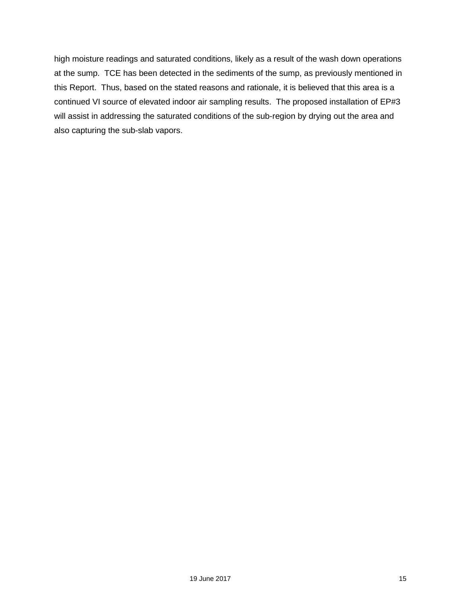high moisture readings and saturated conditions, likely as a result of the wash down operations at the sump. TCE has been detected in the sediments of the sump, as previously mentioned in this Report. Thus, based on the stated reasons and rationale, it is believed that this area is a continued VI source of elevated indoor air sampling results. The proposed installation of EP#3 will assist in addressing the saturated conditions of the sub-region by drying out the area and also capturing the sub-slab vapors.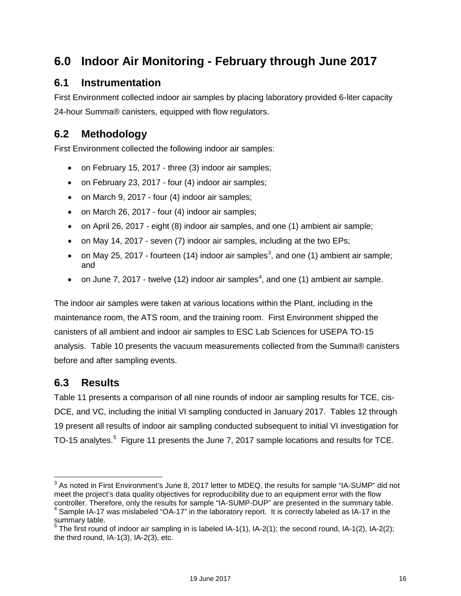## <span id="page-20-0"></span>**6.0 Indoor Air Monitoring - February through June 2017**

## <span id="page-20-1"></span>**6.1 Instrumentation**

First Environment collected indoor air samples by placing laboratory provided 6-liter capacity 24-hour Summa® canisters, equipped with flow regulators.

## <span id="page-20-2"></span>**6.2 Methodology**

First Environment collected the following indoor air samples:

- on February 15, 2017 three (3) indoor air samples;
- on February 23, 2017 four (4) indoor air samples;
- on March 9, 2017 four (4) indoor air samples;
- on March 26, 2017 four (4) indoor air samples;
- on April 26, 2017 eight (8) indoor air samples, and one (1) ambient air sample;
- on May 14, 2017 seven (7) indoor air samples, including at the two EPs;
- on May 25, 2017 fourteen (14) indoor air samples<sup>[3](#page-20-4)</sup>, and one (1) ambient air sample; and
- on June 7, 2017 twelve (12) indoor air samples<sup>[4](#page-20-5)</sup>, and one (1) ambient air sample.

The indoor air samples were taken at various locations within the Plant, including in the maintenance room, the ATS room, and the training room. First Environment shipped the canisters of all ambient and indoor air samples to ESC Lab Sciences for USEPA TO-15 analysis. Table 10 presents the vacuum measurements collected from the Summa® canisters before and after sampling events.

## <span id="page-20-3"></span>**6.3 Results**

Table 11 presents a comparison of all nine rounds of indoor air sampling results for TCE, cis-DCE, and VC, including the initial VI sampling conducted in January 2017. Tables 12 through 19 present all results of indoor air sampling conducted subsequent to initial VI investigation for TO-1[5](#page-20-6) analytes.<sup>5</sup> Figure 11 presents the June 7, 2017 sample locations and results for TCE.

<span id="page-20-4"></span> $3$  As noted in First Environment's June 8, 2017 letter to MDEQ, the results for sample "IA-SUMP" did not meet the project's data quality objectives for reproducibility due to an equipment error with the flow controller. Therefore, only the results for sample "IA-SUMP-DUP" are presented in the summary table.<br><sup>4</sup> Sample IA-17 was mislabeled "OA-17" in the laboratory report. It is correctly labeled as IA-17 in the

<span id="page-20-6"></span><span id="page-20-5"></span>summary table.  $5$  The first round of indoor air sampling in is labeled IA-1(1), IA-2(1); the second round, IA-1(2), IA-2(2); the third round, IA-1(3), IA-2(3), etc.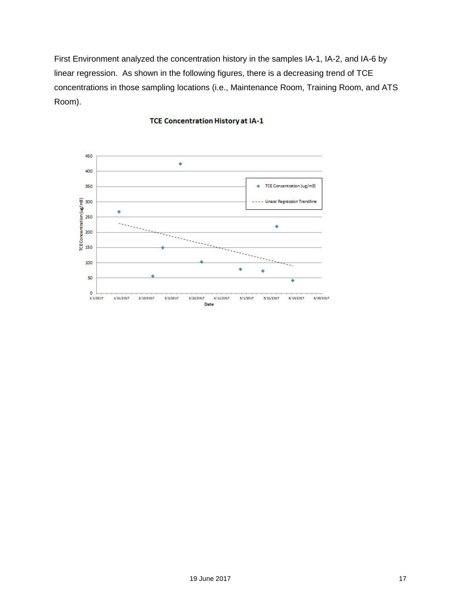First Environment analyzed the concentration history in the samples IA-1, IA-2, and IA-6 by linear regression. As shown in the following figures, there is a decreasing trend of TCE concentrations in those sampling locations (i.e., Maintenance Room, Training Room, and ATS Room).



#### **TCE Concentration History at IA-1**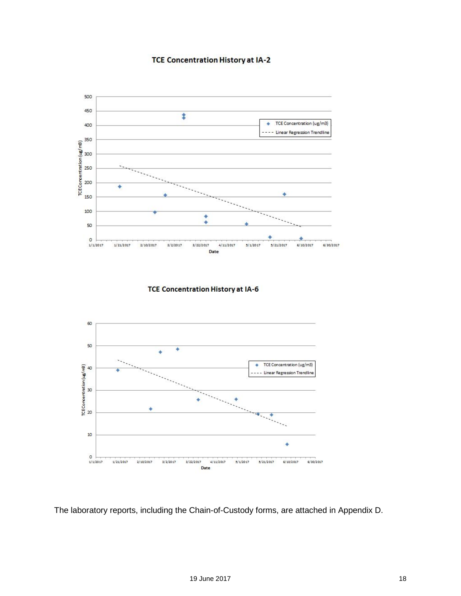



**TCE Concentration History at IA-6** 



The laboratory reports, including the Chain-of-Custody forms, are attached in Appendix D.